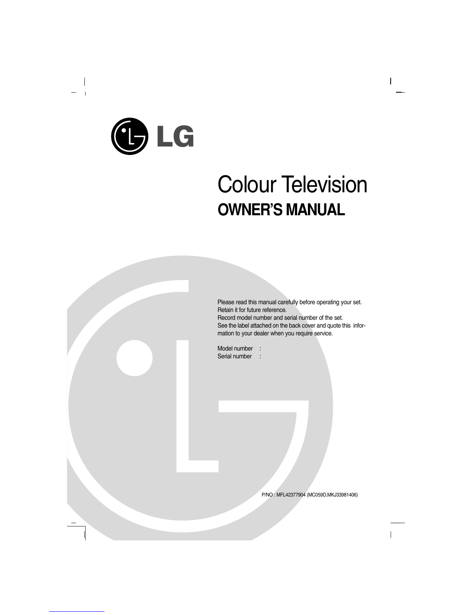LG

 $\overline{\phantom{a}}$ 

 $\overline{\phantom{0}}$  $\mathbf{I}$ 

# Colour Television **OWNER'S MANUAL**

 $\overline{\phantom{a}}$ 

Please read this manual carefully before operating your set. Retain it for future reference. Record model number and serial number of the set. See the label attached on the back cover and quote this information to your dealer when you require service.

Model number : Serial number :

P/NO : MFL42377904 (MC059D,MKJ33981406)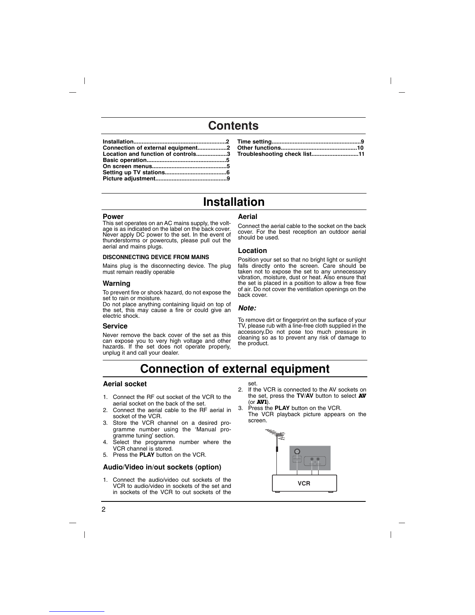# **Contents**

| Connection of external equipment2  |  |
|------------------------------------|--|
| Location and function of controls3 |  |
|                                    |  |
|                                    |  |
|                                    |  |
|                                    |  |

| Troubleshooting check list11 |  |
|------------------------------|--|

# **Installation**

### **Power**

This set operates on an AC mains supply, the voltage is as indicated on the label on the back cover. Never apply DC power to the set. In the event of thunderstorms or powercuts, please pull out the aerial and mains plugs.

### **DISCONNECTING DEVICE FROM MAINS**

Mains plug is the disconnecting device. The plug must remain readily operable

# **Warning**

To prevent fire or shock hazard, do not expose the set to rain or moisture.

Do not place anything containing liquid on top of the set, this may cause a fire or could give an electric shock.

### **Service**

Never remove the back cover of the set as this can expose you to very high voltage and other hazards. If the set does not operate properly, unplug it and call your dealer.

#### **Aerial**

Connect the aerial cable to the socket on the back cover. For the best reception an outdoor aerial should be used.

# **Location**

Position your set so that no bright light or sunlight falls directly onto the screen. Care should be taken not to expose the set to any unnecessary vibration, moisture, dust or heat. Also ensure that the set is placed in a position to allow a free flow of air. Do not cover the ventilation openings on the back cover.

# *Note:*

To remove dirt or fingerprint on the surface of your TV, please rub with a line-free cloth supplied in the accessory.Do not pose too much pressure in cleaning so as to prevent any risk of damage to the product.

# **Connection of external equipment**

# **Aerial socket**

- 1. Connect the RF out socket of the VCR to the aerial socket on the back of the set.
- 2. Connect the aerial cable to the RF aerial in socket of the VCR.
- 3. Store the VCR channel on a desired programme number using the 'Manual programme tuning' section.
- 4. Select the programme number where the VCR channel is stored.
- 5. Press the **PLAY** button on the VCR.

### **Audio/Video in/out sockets (option)**

1. Connect the audio/video out sockets of the VCR to audio/video in sockets of the set and in sockets of the VCR to out sockets of the

# set.

- 2. If the VCR is connected to the AV sockets on the set, press the **TV/AV** button to select **AV** (or **AV1**).
- 3. Press the **PLAY** button on the VCR.
	- The VCR playback picture appears on the screen.

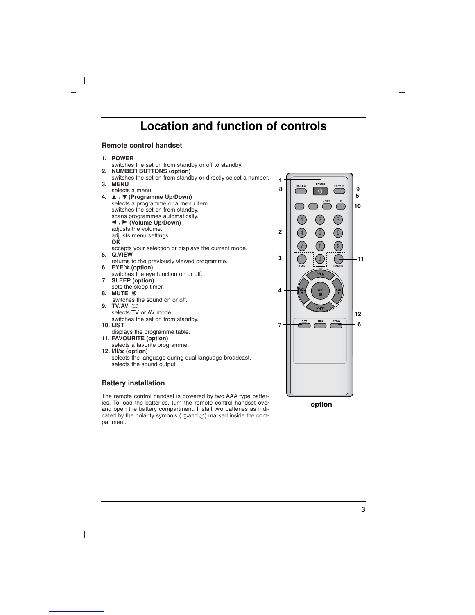# **Location and function of controls**

# **Remote control handset**

 $\overline{\phantom{a}}$ 

- switches the set on from standby or off to standby.
- **2. NUMBER BUTTONS (option)**
- switches the set on from standby or directly select a number. **3. MENU**
- selects a menu.
- **4.** ▲ / ▼ (Programme Up/Down) selects a programme or a menu item. switches the set on from standby.
	- scans programmes automatically.
	- F **/** G **(Volume Up/Down)**
	- adjusts the volume.
	- adjusts menu settings.
- **OK**
- accepts your selection or displays the current mode. **5. Q.VIEW**
- returns to the previously viewed programme. **6. EYE/\*(option)**
- switches the eye function on or off. **7. SLEEP (option)**
- sets the sleep timer.
- **8. MUTE**  switches the sound on or off. **9. TV/AV**
- selects TV or AV mode. switches the set on from standby.
- **10. LIST** displays the programme table.
- **11. FAVOURITE (option)**
- selects a favorite programme. **12. I/II/\*(option)**
- selects the language during dual language broadcast. selects the sound output.

# **Battery installation**

The remote control handset is powered by two AAA type batteries. To load the batteries, turn the remote control handset over and open the battery compartment. Install two batteries as indi- $\alpha$  and open the ballery comparement means the balleries as mandated by the polarity symbols ( $\oplus$  and  $\ominus$ ) marked inside the compartment.



 $\overline{\phantom{a}}$ 

3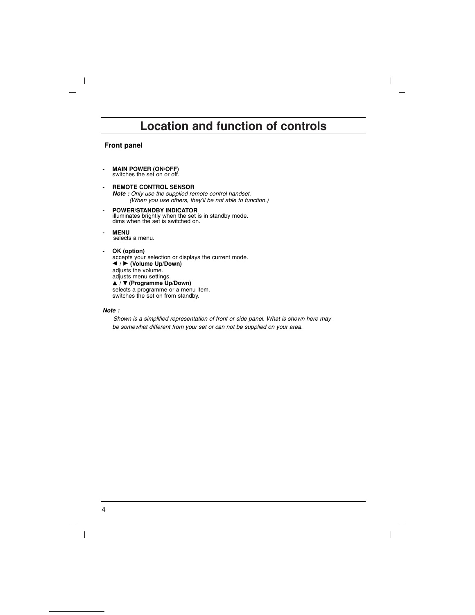# **Location and function of controls**

 $\overline{\phantom{a}}$ 

 $\overline{\phantom{a}}$ 

# **Front panel**

 $\overline{\phantom{a}}$ 

- **MAIN POWER (ON/OFF)** switches the set on or off.
- **REMOTE CONTROL SENSOR** *Note : Only use the supplied remote control handset. (When you use others, they'll be not able to function.)*
- **POWER/STANDBY INDICATOR** illuminates brightly when the set is in standby mode. dims when the set is switched on.
- **MENU**  selects a menu. **- OK (option)** accepts your selection or displays the current mode. F **/** G **(Volume Up/Down)** adjusts the volume. adjusts menu settings. ▲ / ▼ (**Programme Up/Down)**<br>selects a programme or a menu item. switches the set on from standby.

# *Note :*

*Shown is a simplified representation of front or side panel. What is shown here may be somewhat different from your set or can not be supplied on your area.*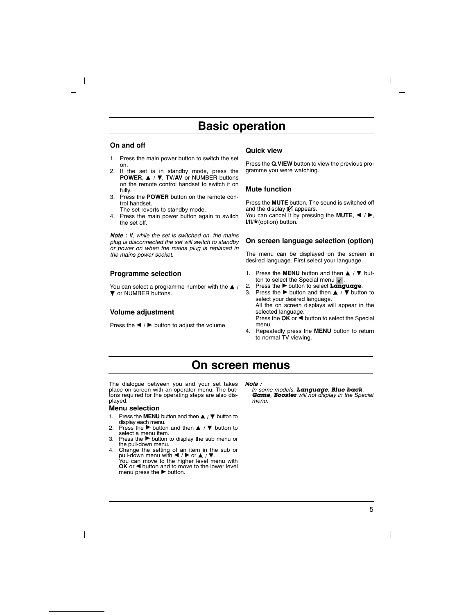# **Basic operation**

# **On and off**

- 1. Press the main power button to switch the set on.
- 2. If the set is in standby mode, press the **POWER, ▲ / ▼, TV/AV** or NUMBER buttons on the remote control handset to switch it on fully.
- 3. Press the **POWER** button on the remote control handset.

The set reverts to standby mode.

4. Press the main power button again to switch the set off.

*Note : If, while the set is switched on, the mains plug is disconnected the set will switch to standby or power on when the mains plug is replaced in the mains power socket.*

### **Programme selection**

You can select a programme number with the  $\blacktriangle$  /  $\nabla$  or NUMBER buttons.

# **Volume adjustment**

Press the  $\blacktriangleleft$  / $\blacktriangleright$  button to adjust the volume.

#### **Quick view**

Press the **Q.VIEW** button to view the previous programme you were watching.

## **Mute function**

Press the **MUTE** button. The sound is switched off and the display  $\mathbb{Q}$  appears. You can cancel it by pressing the **MUTE**,  $\blacktriangleleft$  / $\blacktriangleright$ , **I/II/\***(option) button.

### **On screen language selection (option)**

The menu can be displayed on the screen in desired language. First select your language.

- 1. Press the **MENU** button and then **△** / ▼ button to select the Special menu  $\frac{1}{2}$ .
- 2. Press the G button to select **Language**.
- 3. Press the ► button and then ▲ / ▼ button to select your desired language. All the on screen displays will appear in the selected language. Press the OK or  $\blacktriangleleft$  button to select the Special

menu.

4. Repeatedly press the **MENU** button to return to normal TV viewing.

# **On screen menus**

The dialogue between you and your set takes place on screen with an operator menu. The but-tons required for the operating steps are also displayed.

#### **Menu selection**

- 1. Press the **MENU** button and then  $\triangle$  /  $\Psi$  button to
- display each menu.<br>
2. Press the ▶ button and then ▲ / ▼ button to<br>
select a menu item.
- 3. Press the  $\blacktriangleright$  button to display the sub menu or the pull-down menu.
- 4. Change the setting of an item in the sub or pull-down menu with  **/ ▶** or ▲ / ▼.<br>You can move to the higher level menu with OK or  $\blacktriangleleft$  button and to move to the lower level<br>menu press the  $\blacktriangleright$  button.

*Note :* 

*In some models, Language, Blue back, Game, Booster will not display in the Special menu.*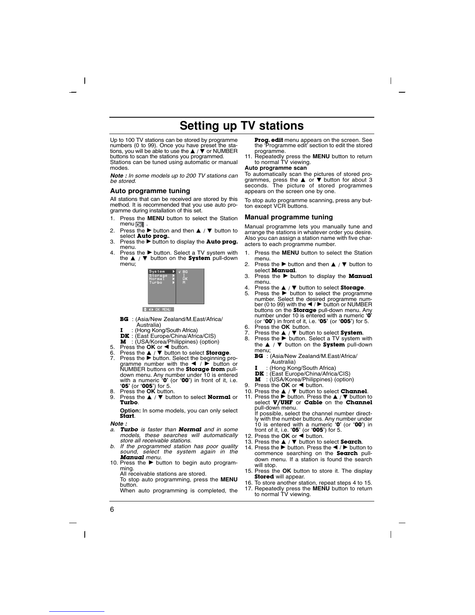# **Setting up TV stations**

Up to 100 TV stations can be stored by programme<br>numbers (0 to 99). Once you have preset the sta-<br>tions, you will be able to use the **▲ / ▼** or NUMBER buttons to scan the stations you programmed. Stations can be tuned using automatic or manual

*Note : In some models up to 200 TV stations can be stored.*

#### **Auto programme tuning**

modes

 $\overline{\phantom{a}}$ 

All stations that can be received are stored by this method. It is recommended that you use auto programme during installation of this set.

- 1. Press the **MENU** button to select the Station<br>menu  $\begin{bmatrix} \bullet & \bullet \\ \bullet & \bullet \end{bmatrix}$ .<br>2. Press the **b**utton and then **A** / **V** button to
- Press the  $\blacktriangleright$  button and then  $\blacktriangle$  /  $\blacktriangledown$  button to
- select **Auto prog.**<br>3. Press the button to display the **Auto prog.**
- menu.<br>4. Press the ► button. Select a TV system with the **A** / ▼ button on the **System** pull-down menu;



- **BG** : (Asia/New Zealand/M.East/Africa/
	- Australia)
- **I** : (Hong Kong/South Africa)<br>**DK** : (East Europe/China/Africa/CIS)
- 
- 
- 
- **DK** : (East Europe/China/Africa/CIS)<br> **M** : (USA/Korea/Philippines) (option)<br>
5. Press the **OK** or **4** button to select **Storage**.<br>
7. Press the **A** button is Select the beginning programme number with the **4** / **F** butt NUMBER buttons on the **Storage from** pull-<br>down menu. Any number under 10 is entered<br>with a numeric ' $\mathbf{0}^{\bullet}$  (or ' $\mathbf{005}^{\bullet}$ ) (or ' $\mathbf{005}^{\bullet}$ ) for 5.<br>' $\mathbf{05}^{\bullet}$  (or ' $\mathbf{005}^{\bullet}$ ) for 5.
- 9. Press the  $\blacktriangle$  /  $\nabla$  button to select **Normal** or **Turbo**.

**Option:** In some models, you can only select **Start**.

# *Note :*

- *a. Turbo is faster than Normal and in some models, these searches will automatically store all receivable stations.*
- *b. If the programmed station has poor quality sound, select the system again in the Manual menu.*
- 10. Press the  $\blacktriangleright$  button to begin auto programming. All receivable stations are stored.

To stop auto programming, press the **MENU** button.

When auto programming is completed, the

**Prog. edit** menu appears on the screen. See the 'Programme edit' section to edit the stored

 $\overline{\phantom{a}}$ 

programme. 11. Repeatedly press the **MENU** button to return to normal TV viewing.

#### **Auto programme scan**

To automatically scan the pictures of stored pro-<br>grammes, press the ▲ or ▼ button for about 3<br>seconds. The picture of stored programmes appears on the screen one by one.

To stop auto programme scanning, press any button except VCR buttons.

### **Manual programme tuning**

Manual programme lets you manually tune and arrange the stations in whatever order you desire. Also you can assign a station name with five characters to each programme number.

- 1. Press the **MENU** button to select the Station menu.
- 2. Press the  $\blacktriangleright$  button and then  $\blacktriangle$  /  $\nabla$  button to select **Manual**.
- 3. Press the **button to display the Manual** menu.
- 4. Press the **▲** / ▼ button to select **Storage**.<br>5. Press the ► button to select the programme
- number. Select the desired programme num-<br>ber (0 to 99) with the ◀ / ▶ button or NUMBER<br>buttons on the **Storage** pull-down menu. Any<br>number under 10 is entered with a numeric **'0**' (or **'00'**) in front of it, i.e. **'05'** (or **'005'**) for 5.
- 
- 6. Press the **OK** button.<br>7. Press the ▲ / ▼ button to select **System**.<br>8. Press the ▶ button. Select a TV system with
- the  $\triangle$  /  $\nabla$  button on the **System** pull-down menu;
	- **BG** : (Asia/New Zealand/M.East/Africa/
	- Australia) **I** : (Hong Kong/South Africa)
	-
	- **DK** : (East Europe/China/Africa/CIS) **M** : (USA/Korea/Philippines) (option)
- 9. Press the OK or < button.
	-
- **10. Press the ▲ / ▼ button to select Channel.**<br> **11. Press the ► button. Press the ▲ / ▼ button to select <b>V/UHF** or **Cable** on the **Channel** pull-down menu. If possible, select the channel number direct-

ly with the number buttons. Any number under 10 is entered with a numeric **'0'** (or **'00'**) in

- 
- 
- front of it, i.e. **'05'** (or **'005'**) for 5.<br>12. Press the **OK** or  $\blacktriangleleft$  button to select **Search**.<br>13. Press the **A** / **V** button to select **Search**.<br>14. Press the ▶ button. Press the ◀ / ▶ button to commence searching on the **Search** pulldown menu. If a station is found the search will stop.
- 15. Press the **OK** button to store it. The display **Stored** will appear.
- 16. To store another station, repeat steps 4 to 15. 17. Repeatedly press the **MENU** button to return to normal TV viewing.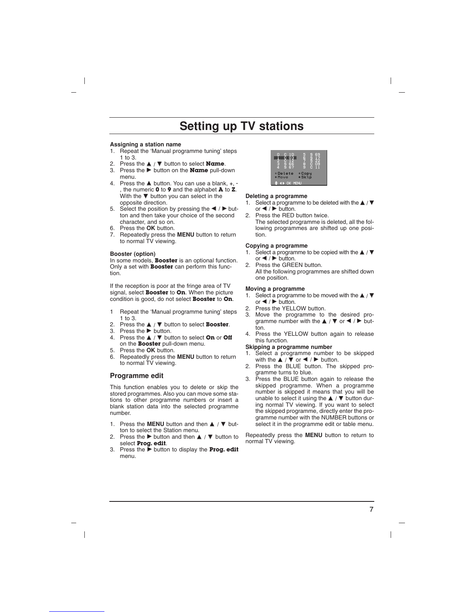# **Setting up TV stations**

#### **Assigning a station name**

- 1. Repeat the 'Manual programme tuning' steps 1 to 3.
- 2. Press the  $\triangle$  /  $\nabla$  button to select **Name**.<br>3. Press the  $\triangleright$  button on the **Name** pull-do
- Press the **b** button on the **Name** pull-down menu.
- 4. Press the  $\triangle$  button. You can use a blank, +,  $\cdot$ , the numeric **0** to **9** and the alphabet **A** to **Z**. With the  $\nabla$  button you can select in the opposite direction.
- 5. Select the position by pressing the  $\blacktriangleleft$  /  $\blacktriangleright$  button and then take your choice of the second character, and so on.
- 6. Press the **OK** button.
- 7. Repeatedly press the **MENU** button to return to normal TV viewing.

#### **Booster (option)**

In some models, **Booster** is an optional function. Only a set with **Booster** can perform this function.

If the reception is poor at the fringe area of TV signal, select **Booster** to **On**. When the picture condition is good, do not select **Booster** to **On**.

- 1 Repeat the 'Manual programme tuning' steps 1 to 3.
- 2. Press the **A** / ▼ button to select **Booster**.<br>3. Press the ► button.
- 
- 4. Press the **A** / ▼ button to select **On** or **Off** on the **Booster** pull-down menu.
- 5. Press the **OK** button.
- 6. Repeatedly press the **MENU** button to return to normal TV viewing.

### **Programme edit**

This function enables you to delete or skip the stored programmes. Also you can move some stations to other programme numbers or insert a blank station data into the selected programme number.

- 1. Press the **MENU** button and then **△** / ▼ button to select the Station menu.
- 2. Press the  $\blacktriangleright$  button and then  $\blacktriangle$  /  $\nabla$  button to select **Prog. edit**.
- 3. Press the **button to display the Prog. edit** menu.



#### **Deleting a programme**

- 1. Select a programme to be deleted with the  $\blacktriangle$  /  $\Psi$ or  $\blacktriangleleft$  / $\blacktriangleright$  button.
- 2. Press the RED button twice. The selected programme is deleted, all the following programmes are shifted up one position.

#### **Copying a programme**

- 1. Select a programme to be copied with the **▲** / ▼ or  $\blacktriangleleft$  / $\blacktriangleright$  button.
- 2. Press the GREEN button. All the following programmes are shifted down one position.

#### **Moving a programme**

- 1. Select a programme to be moved with the  $\blacktriangle$  /  $\blacktriangledown$ or  $\blacktriangleleft$  / $\blacktriangleright$  button.
- 2. Press the YELLOW button.<br>3. Move the programme to
- Move the programme to the desired programme number with the  $\blacktriangle$  /  $\nabla$  or  $\blacktriangle$  /  $\blacktriangleright$  button.
- 4. Press the YELLOW button again to release this function.

### **Skipping a programme number**

- 1. Select a programme number to be skipped with the  $\triangle$  /  $\blacktriangledown$  or  $\blacktriangle$  /  $\blacktriangleright$  button.
- 2. Press the BLUE button. The skipped programme turns to blue.
- 3. Press the BLUE button again to release the skipped programme. When a programme number is skipped it means that you will be unable to select it using the **△** / ▼ button during normal TV viewing. If you want to select the skipped programme, directly enter the programme number with the NUMBER buttons or select it in the programme edit or table menu.

Repeatedly press the **MENU** button to return to normal TV viewing.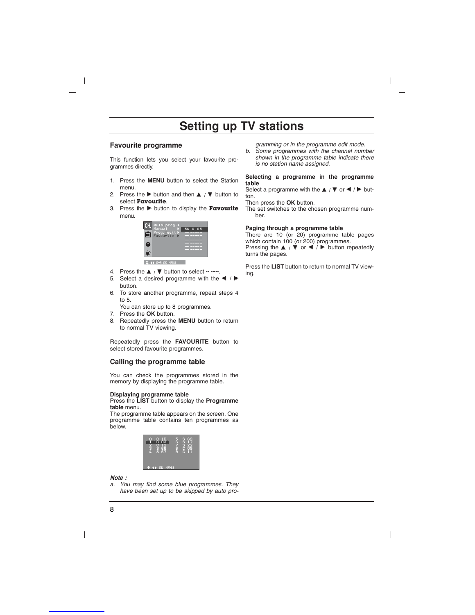# **Setting up TV stations**

# **Favourite programme**

 $\overline{\phantom{a}}$ 

This function lets you select your favourite programmes directly.

- 1. Press the **MENU** button to select the Station menu.
- 2. Press the  $\blacktriangleright$  button and then  $\blacktriangle$  /  $\nabla$  button to select **Favourite**.
- 3. Press the **button to display the Favourite** menu.

| Auto prog.            |         |
|-----------------------|---------|
| Manual<br>Prog. Cedit | 56 C 05 |
|                       |         |
|                       |         |
|                       |         |
|                       |         |

 $\Leftrightarrow$  (4) 0-9 OK MENU

- 4. Press the **△ / ▼** button to select -- -----.<br>5. Select a desired programme with the
- Select a desired programme with the  $\blacktriangleleft$  /  $\blacktriangleright$ button.
- 6. To store another programme, repeat steps 4 to 5.
- You can store up to 8 programmes.
- 7. Press the **OK** button.
- 8. Repeatedly press the **MENU** button to return to normal TV viewing.

Repeatedly press the **FAVOURITE** button to select stored favourite programmes.

# **Calling the programme table**

You can check the programmes stored in the memory by displaying the programme table.

# **Displaying programme table**

Press the **LIST** button to display the **Programme table** menu.

The programme table appears on the screen. One programme table contains ten programmes as below.

| OЗ<br>ŝБ<br>Ğ<br>ē<br>Ğ7<br>š<br>л | ₿ | S<br>C<br>C<br>E<br>C<br>1 <sub>1</sub> |  |
|------------------------------------|---|-----------------------------------------|--|
| OK<br>MENU<br>Æ                    |   |                                         |  |

#### *Note :*

*a. You may find some blue programmes. They have been set up to be skipped by auto pro-*

- *gramming or in the programme edit mode. b. Some programmes with the channel number*
- *shown in the programme table indicate there is no station name assigned.*

### **Selecting a programme in the programme table**

Select a programme with the  $\blacktriangle$  /  $\nabla$  or  $\blacktriangle$  /  $\blacktriangleright$  button.

Then press the **OK** button.

The set switches to the chosen programme number.

# **Paging through a programme table**

There are 10 (or 20) programme table pages which contain 100 (or 200) programmes. Pressing the **A** / ▼ or ◀ / ▶ button repeatedly turns the pages.

Press the **LIST** button to return to normal TV viewing.

 $\overline{\phantom{a}}$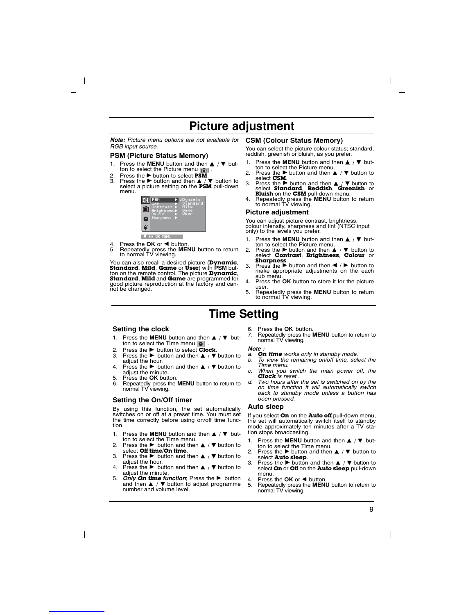# **Picture adjustment**

*Note: Picture menu options are not available for* **CSM (Colour Status Memory)** *RGB input source.*

### **PSM (Picture Status Memory)**

- 1. Press the **MENU** button and then  $\triangle$  /  $\Psi$  button to select the Picture menu ii.
- 2. Press the ► button to select PSM.<br>3. Press the ► button and then <u>▲ / ▼</u> button to select a picture setting on the **PSM** pull-down menu.



- 
- 4. Press the **OK** or **E** button.<br>5. Repeatedly press the **ME** 5. Repeatedly press the **MENU** button to return to normal TV viewing.

You can also recall a desired picture (**Dynamic**, **Standard**, **Mild**, **Game** or **User**) with **PSM** button on the remote control. The picture **Dynamic**, **Standard**, **Mild** and **Game** are programmed for good picture reproduction at the factory and can-<br>not be changed.

You can select the picture colour status; standard, reddish, greenish or bluish, as you prefer.

- 1. Press the **MENU** button and then  $\triangle$  /  $\Psi$  but-
- ton to select the Picture menu.<br>2. Press the button and then **▲** / ▼ button to select **CSM**.<br>3. Press the ► button and then **A** / ▼ button to
- select **Standard, Reddish, Greenish** or **Bluish** on the **CSM** pull-down menu.<br>4. Repeatedly press the **MENU** button to return to normal TV viewing.
- 

# **Picture adjustment**

You can adjust picture contrast, brightness, colour intensity, sharpness and tint (NTSC input only) to the levels you prefer.

- 1. Press the **MENU** button and then **A** / ▼ button to select the Picture menu.<br>2. Press the ► button and then ▲ / ▼ button to
- select **Contrast**, **Brightness**, **Colour** or **Sharpness**.<br>3. Press the  $\blacktriangleright$  button and then  $\blacktriangleleft$  /  $\blacktriangleright$  button to make appropriate adjustments on the each
- sub menu.<br>Press the OK button to store it for the picture
- 4. Press the **OK** button to store it for the picture user. 5. Repeatedly press the **MENU** button to return to normal TV viewing.
- 

# **Time Setting**

#### **Setting the clock**

- 1. Press the MENU button and then **A** / ▼ button to select the Time menu  $\bullet$ .
- 2. Press the ► button to select **Clock**.<br>3. Press the ► button and then ▲ / ▼ button to
- adjust the hour.
- Press the  $\blacktriangleright$  button and then  $\blacktriangle$  /  $\nblacktriangleright$  button to adjust the minute. 5. Press the **OK** button.
- 
- 6. Repeatedly press the **MENU** button to return to normal TV viewing.

# **Setting the On/Off timer**

By using this function, the set automatically switches on or off at a preset time. You must set the time correctly before using on/off time function.

- 1. Press the **MENU** button and then  $\blacktriangle$  /  $\Psi$  but-
- ton to select the Time menu.<br>2. Press the ► button and then ▲ / ▼ button to select **Off time**/**On time**.
- 3. Press the **button and then**  $\blacktriangle$  /  $\nabla$  button to adjust the hour.
- 4. Press the  $\blacktriangleright$  button and then  $\blacktriangle$  /  $\nblacktriangleright$  button to adjust the minute.
- 5. *Only On time function*; Press the button and then  $\blacktriangle$  /  $\nabla$  button to adjust programme number and volume level.
- 6. Press the **OK** button.
	- 7. Repeatedly press the **MENU** button to return to normal TV viewing.

# *Note :*

- *a. On time works only in standby mode. b. To view the remaining on/off time, select the Time menu.*
- *c. When you switch the main power off, the*
- *Clock is reset . d. Two hours after the set is switched on by the on time function it will automatically switch back to standby mode unless a button has been pressed.*

#### **Auto sleep**

If you select **On** on the **Auto off** pull-down menu, the set will automatically switch itself to standby mode approximately ten minutes after a TV station stops broadcasting.

- 1. Press the **MENU** button and then **▲** / ▼ but-
- ton to select the Time menu.<br>2. Press the ► button and then ▲ / ▼ button to select **Auto sleep**.<br>3. Press the button and then  $\blacktriangle$  /  $\nabla$  button to
- select **On** or **Off** on the **Auto sleep** pull-down
- 
- menu.<br>4. Press the **OK** or ◀ button.<br>5. Repeatedly press the **MENU** button to return to<br>normal TV viewing.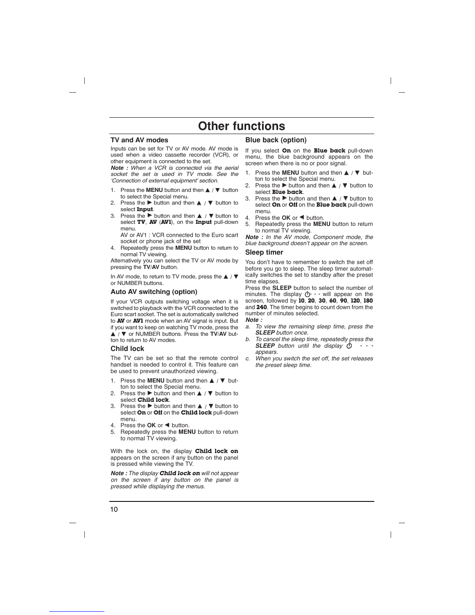# **Other functions**

# **TV and AV modes**

Inputs can be set for TV or AV mode. AV mode is used when a video cassette recorder (VCR), or other equipment is connected to the set.

*Note : When a VCR is connected via the aerial socket the set is used in TV mode. See the 'Connection of external equipment' section.*

- 1. Press the **MENU** button and then  $\blacktriangle$  /  $\nabla$  button to select the Special menu.
- Press the  $\blacktriangleright$  button and then  $\blacktriangle$  /  $\blacktriangledown$  button to select **Input**.
- 3. Press the  $\blacktriangleright$  button and then  $\blacktriangle$  /  $\nabla$  button to select **TV**, **AV** (**AV1**), on the **Input** pull-down menu.

AV or AV1 : VCR connected to the Euro scart socket or phone jack of the set

4. Repeatedly press the **MENU** button to return to normal TV viewing.

Alternatively you can select the TV or AV mode by pressing the **TV/AV** button.

In AV mode, to return to TV mode, press the  $\blacktriangle$  /  $\blacktriangledown$ or NUMBER buttons.

# **Auto AV switching (option)**

If your VCR outputs switching voltage when it is switched to playback with the VCR connected to the Euro scart socket. The set is automatically switched to **AV** or **AV1** mode when an AV signal is input. But if you want to keep on watching TV mode, press the A / ▼ or NUMBER buttons. Press the TV/AV button to return to AV modes.

#### **Child lock**

The TV can be set so that the remote control handset is needed to control it. This feature can be used to prevent unauthorized viewing.

- Press the **MENU** button and then **△** / ▼ button to select the Special menu.
- 2. Press the  $\blacktriangleright$  button and then  $\blacktriangle$  /  $\nabla$  button to select **Child lock**.
- 3. Press the  $\blacktriangleright$  button and then  $\blacktriangle$  /  $\nabla$  button to select **On** or **Off** on the **Child lock** pull-down menu.
- 4. Press the OK or < button.
- 5. Repeatedly press the **MENU** button to return to normal TV viewing.

With the lock on, the display **Child lock on** appears on the screen if any button on the panel is pressed while viewing the TV.

*Note : The display Child lock on will not appear on the screen if any button on the panel is pressed while displaying the menus.*

# **Blue back (option)**

If you select **On** on the **Blue back** pull-down menu, the blue background appears on the screen when there is no or poor signal.

- 1. Press the **MENU** button and then **△** / ▼ button to select the Special menu.
- 2. Press the  $\blacktriangleright$  button and then  $\blacktriangle$  /  $\nabla$  button to select **Blue back**.
- 3. Press the  $\blacktriangleright$  button and then  $\blacktriangle$  /  $\nabla$  button to select **On** or **Off** on the **Blue back** pull-down menu.
- 
- 4. Press the **OK** or **E** button.<br>5. Repeatedly press the **ME** 5. Repeatedly press the **MENU** button to return

to normal TV viewing. *Note : In the AV mode, Component mode, the blue background doesn't appear on the screen.*

### **Sleep timer**

You don't have to remember to switch the set off before you go to sleep. The sleep timer automatically switches the set to standby after the preset time elapses.

Press the **SLEEP** button to select the number of minutes. The display  $\bigcirc$  - - will appear on the screen, followed by **10**, **20**, **30**, **60**, **90**, **120**, **180** and **240**. The timer begins to count down from the number of minutes selected. *Note :* 

*a. To view the remaining sleep time, press the SLEEP button once.*

- *b. To cancel the sleep time, repeatedly press the* **SLEEP** button until the display  $\phi$   $\cdot$   $\cdot$ *appears.*
- *c. When you switch the set off, the set releases the preset sleep time.*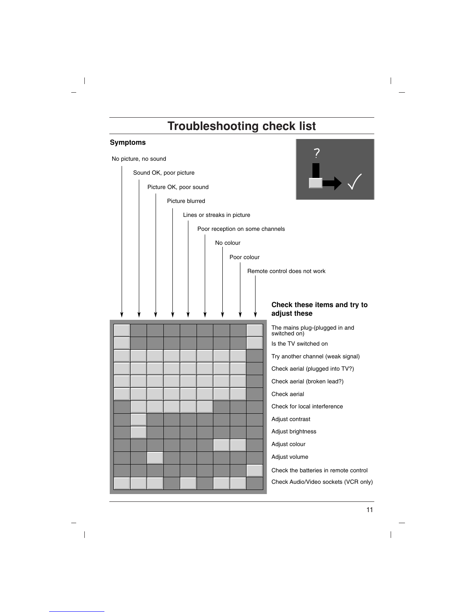# **Troubleshooting check list**

# **Symptoms**

 $\begin{array}{c} \hline \end{array}$ 

 $\overline{\phantom{a}}$ 



 $\overline{\phantom{a}}$